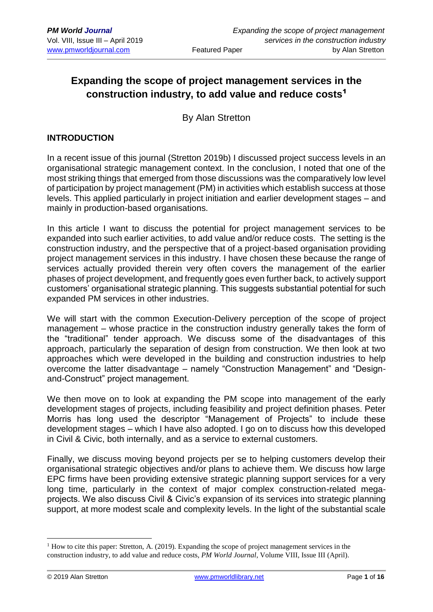## **Expanding the scope of project management services in the construction industry, to add value and reduce costs**<sup>1</sup>

By Alan Stretton

#### **INTRODUCTION**

In a recent issue of this journal (Stretton 2019b) I discussed project success levels in an organisational strategic management context. In the conclusion, I noted that one of the most striking things that emerged from those discussions was the comparatively low level of participation by project management (PM) in activities which establish success at those levels. This applied particularly in project initiation and earlier development stages – and mainly in production-based organisations.

In this article I want to discuss the potential for project management services to be expanded into such earlier activities, to add value and/or reduce costs. The setting is the construction industry, and the perspective that of a project-based organisation providing project management services in this industry. I have chosen these because the range of services actually provided therein very often covers the management of the earlier phases of project development, and frequently goes even further back, to actively support customers' organisational strategic planning. This suggests substantial potential for such expanded PM services in other industries.

We will start with the common Execution-Delivery perception of the scope of project management – whose practice in the construction industry generally takes the form of the "traditional" tender approach. We discuss some of the disadvantages of this approach, particularly the separation of design from construction. We then look at two approaches which were developed in the building and construction industries to help overcome the latter disadvantage – namely "Construction Management" and "Designand-Construct" project management.

We then move on to look at expanding the PM scope into management of the early development stages of projects, including feasibility and project definition phases. Peter Morris has long used the descriptor "Management of Projects" to include these development stages – which I have also adopted. I go on to discuss how this developed in Civil & Civic, both internally, and as a service to external customers.

Finally, we discuss moving beyond projects per se to helping customers develop their organisational strategic objectives and/or plans to achieve them. We discuss how large EPC firms have been providing extensive strategic planning support services for a very long time, particularly in the context of major complex construction-related megaprojects. We also discuss Civil & Civic's expansion of its services into strategic planning support, at more modest scale and complexity levels. In the light of the substantial scale

<u>.</u>

 $1$  How to cite this paper: Stretton, A. (2019). Expanding the scope of project management services in the construction industry, to add value and reduce costs, *PM World Journal*, Volume VIII, Issue III (April).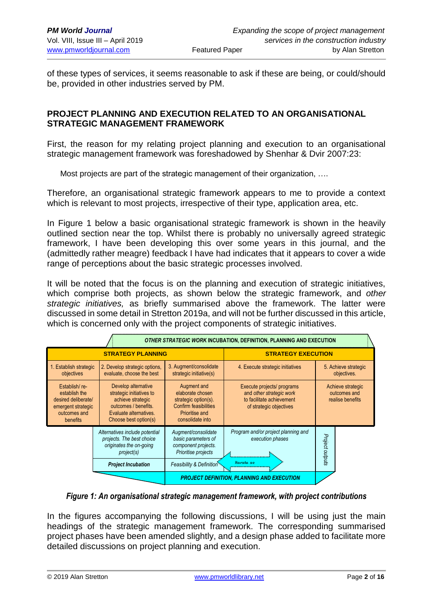of these types of services, it seems reasonable to ask if these are being, or could/should be, provided in other industries served by PM.

## **PROJECT PLANNING AND EXECUTION RELATED TO AN ORGANISATIONAL STRATEGIC MANAGEMENT FRAMEWORK**

First, the reason for my relating project planning and execution to an organisational strategic management framework was foreshadowed by Shenhar & Dvir 2007:23:

Most projects are part of the strategic management of their organization, ….

Therefore, an organisational strategic framework appears to me to provide a context which is relevant to most projects, irrespective of their type, application area, etc.

In Figure 1 below a basic organisational strategic framework is shown in the heavily outlined section near the top. Whilst there is probably no universally agreed strategic framework, I have been developing this over some years in this journal, and the (admittedly rather meagre) feedback I have had indicates that it appears to cover a wide range of perceptions about the basic strategic processes involved.

It will be noted that the focus is on the planning and execution of strategic initiatives, which comprise both projects, as shown below the strategic framework, and *other strategic initiatives,* as briefly summarised above the framework. The latter were discussed in some detail in Stretton 2019a, and will not be further discussed in this article, which is concerned only with the project components of strategic initiatives.

| <b>OTHER STRATEGIC WORK INCUBATION, DEFINITION, PLANNING AND EXECUTION</b>                              |                                                                                                                                                 |                                                                                                                        |                                                                                                                |                                                       |
|---------------------------------------------------------------------------------------------------------|-------------------------------------------------------------------------------------------------------------------------------------------------|------------------------------------------------------------------------------------------------------------------------|----------------------------------------------------------------------------------------------------------------|-------------------------------------------------------|
| <b>STRATEGY PLANNING</b>                                                                                |                                                                                                                                                 |                                                                                                                        | <b>STRATEGY EXECUTION</b>                                                                                      |                                                       |
| 1. Establish strategic<br>objectives                                                                    | 2. Develop strategic options,<br>evaluate, choose the best                                                                                      | 3. Augment/consolidate<br>strategic initiative(s)                                                                      | 4. Execute strategic initiatives                                                                               | 5. Achieve strategic<br>objectives.                   |
| Establish/re-<br>establish the<br>desired deliberate/<br>emergent strategic<br>outcomes and<br>benefits | Develop alternative<br>strategic initiatives to<br>achieve strategic<br>outcomes / benefits.<br>Evaluate alternatives.<br>Choose best option(s) | Augment and<br>elaborate chosen<br>strategic option(s).<br>Confirm feasibilities<br>Prioritise and<br>consolidate into | Execute projects/ programs<br>and other strategic work<br>to facilitate achievement<br>of strategic objectives | Achieve strategic<br>outcomes and<br>realise benefits |
|                                                                                                         | Alternatives include potential<br>projects. The best choice<br>originates the on-going<br>project(s)                                            | Augment/consolidate<br>basic parameters of<br>component projects.<br>Prioritise projects                               | Program and/or project planning and<br>execution phases                                                        | Project outputs                                       |
|                                                                                                         | <b>Project Incubation</b>                                                                                                                       | Feasibility & Definition                                                                                               | Itarata as                                                                                                     |                                                       |
|                                                                                                         |                                                                                                                                                 |                                                                                                                        | <b>PROJECT DEFINITION, PLANNING AND EXECUTION</b>                                                              |                                                       |

*Figure 1: An organisational strategic management framework, with project contributions*

In the figures accompanying the following discussions, I will be using just the main headings of the strategic management framework. The corresponding summarised project phases have been amended slightly, and a design phase added to facilitate more detailed discussions on project planning and execution.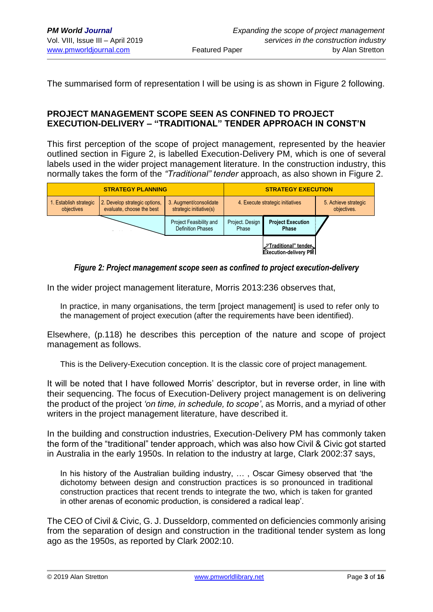The summarised form of representation I will be using is as shown in Figure 2 following.

#### **PROJECT MANAGEMENT SCOPE SEEN AS CONFINED TO PROJECT EXECUTION-DELIVERY – "TRADITIONAL" TENDER APPROACH IN CONST'N**

This first perception of the scope of project management, represented by the heavier outlined section in Figure 2, is labelled Execution-Delivery PM, which is one of several labels used in the wider project management literature. In the construction industry, this normally takes the form of the *"Traditional" tender* approach, as also shown in Figure 2.



#### *Figure 2: Project management scope seen as confined to project execution-delivery*

In the wider project management literature, Morris 2013:236 observes that,

In practice, in many organisations, the term [project management] is used to refer only to the management of project execution (after the requirements have been identified).

Elsewhere, (p.118) he describes this perception of the nature and scope of project management as follows.

This is the Delivery-Execution conception. It is the classic core of project management.

It will be noted that I have followed Morris' descriptor, but in reverse order, in line with their sequencing. The focus of Execution-Delivery project management is on delivering the product of the project *'on time, in schedule, to scope'*, as Morris, and a myriad of other writers in the project management literature, have described it.

In the building and construction industries, Execution-Delivery PM has commonly taken the form of the "traditional" tender approach, which was also how Civil & Civic got started in Australia in the early 1950s. In relation to the industry at large, Clark 2002:37 says,

In his history of the Australian building industry, … , Oscar Gimesy observed that 'the dichotomy between design and construction practices is so pronounced in traditional construction practices that recent trends to integrate the two, which is taken for granted in other arenas of economic production, is considered a radical leap'.

The CEO of Civil & Civic, G. J. Dusseldorp, commented on deficiencies commonly arising from the separation of design and construction in the traditional tender system as long ago as the 1950s, as reported by Clark 2002:10.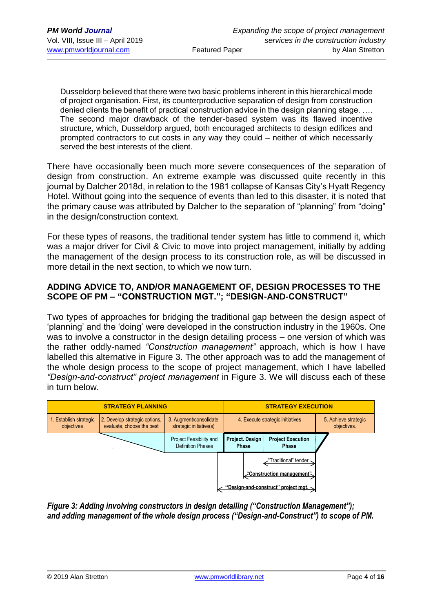Dusseldorp believed that there were two basic problems inherent in this hierarchical mode of project organisation. First, its counterproductive separation of design from construction denied clients the benefit of practical construction advice in the design planning stage. …. The second major drawback of the tender-based system was its flawed incentive structure, which, Dusseldorp argued, both encouraged architects to design edifices and prompted contractors to cut costs in any way they could – neither of which necessarily served the best interests of the client.

There have occasionally been much more severe consequences of the separation of design from construction. An extreme example was discussed quite recently in this journal by Dalcher 2018d, in relation to the 1981 collapse of Kansas City's Hyatt Regency Hotel. Without going into the sequence of events than led to this disaster, it is noted that the primary cause was attributed by Dalcher to the separation of "planning" from "doing" in the design/construction context.

For these types of reasons, the traditional tender system has little to commend it, which was a major driver for Civil & Civic to move into project management, initially by adding the management of the design process to its construction role, as will be discussed in more detail in the next section, to which we now turn.

## **ADDING ADVICE TO, AND/OR MANAGEMENT OF, DESIGN PROCESSES TO THE SCOPE OF PM – "CONSTRUCTION MGT."; "DESIGN-AND-CONSTRUCT"**

Two types of approaches for bridging the traditional gap between the design aspect of 'planning' and the 'doing' were developed in the construction industry in the 1960s. One was to involve a constructor in the design detailing process – one version of which was the rather oddly-named *"Construction management"* approach, which is how I have labelled this alternative in Figure 3. The other approach was to add the management of the whole design process to the scope of project management, which I have labelled *"Design-and-construct" project management* in Figure 3. We will discuss each of these in turn below.



*Figure 3: Adding involving constructors in design detailing ("Construction Management"); and adding management of the whole design process ("Design-and-Construct") to scope of PM.*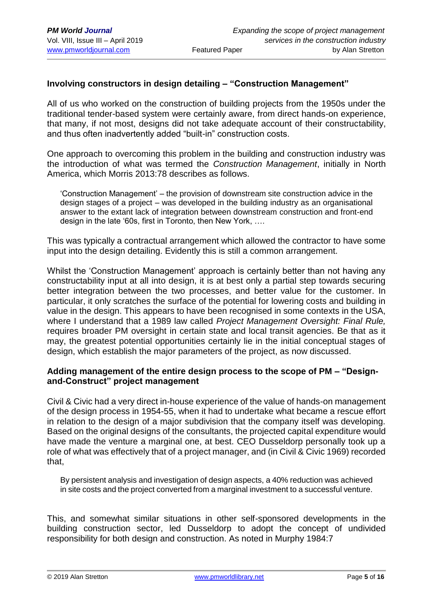## **Involving constructors in design detailing – "Construction Management"**

All of us who worked on the construction of building projects from the 1950s under the traditional tender-based system were certainly aware, from direct hands-on experience, that many, if not most, designs did not take adequate account of their constructability. and thus often inadvertently added "built-in" construction costs.

One approach to overcoming this problem in the building and construction industry was the introduction of what was termed the *Construction Management*, initially in North America, which Morris 2013:78 describes as follows.

'Construction Management' – the provision of downstream site construction advice in the design stages of a project – was developed in the building industry as an organisational answer to the extant lack of integration between downstream construction and front-end design in the late '60s, first in Toronto, then New York, ….

This was typically a contractual arrangement which allowed the contractor to have some input into the design detailing. Evidently this is still a common arrangement.

Whilst the 'Construction Management' approach is certainly better than not having any constructability input at all into design, it is at best only a partial step towards securing better integration between the two processes, and better value for the customer. In particular, it only scratches the surface of the potential for lowering costs and building in value in the design. This appears to have been recognised in some contexts in the USA, where I understand that a 1989 law called *Project Management Oversight: Final Rule,*  requires broader PM oversight in certain state and local transit agencies. Be that as it may, the greatest potential opportunities certainly lie in the initial conceptual stages of design, which establish the major parameters of the project, as now discussed.

#### **Adding management of the entire design process to the scope of PM – "Designand-Construct" project management**

Civil & Civic had a very direct in-house experience of the value of hands-on management of the design process in 1954-55, when it had to undertake what became a rescue effort in relation to the design of a major subdivision that the company itself was developing. Based on the original designs of the consultants, the projected capital expenditure would have made the venture a marginal one, at best. CEO Dusseldorp personally took up a role of what was effectively that of a project manager, and (in Civil & Civic 1969) recorded that,

By persistent analysis and investigation of design aspects, a 40% reduction was achieved in site costs and the project converted from a marginal investment to a successful venture.

This, and somewhat similar situations in other self-sponsored developments in the building construction sector, led Dusseldorp to adopt the concept of undivided responsibility for both design and construction. As noted in Murphy 1984:7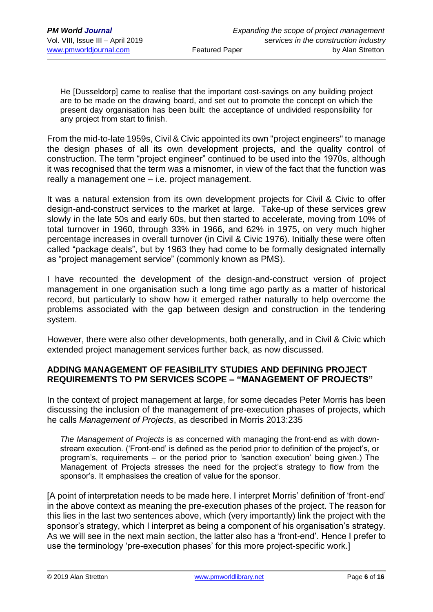He [Dusseldorp] came to realise that the important cost-savings on any building project are to be made on the drawing board, and set out to promote the concept on which the present day organisation has been built: the acceptance of undivided responsibility for any project from start to finish.

From the mid-to-late 1959s, Civil & Civic appointed its own "project engineers" to manage the design phases of all its own development projects, and the quality control of construction. The term "project engineer" continued to be used into the 1970s, although it was recognised that the term was a misnomer, in view of the fact that the function was really a management one – i.e. project management.

It was a natural extension from its own development projects for Civil & Civic to offer design-and-construct services to the market at large. Take-up of these services grew slowly in the late 50s and early 60s, but then started to accelerate, moving from 10% of total turnover in 1960, through 33% in 1966, and 62% in 1975, on very much higher percentage increases in overall turnover (in Civil & Civic 1976). Initially these were often called "package deals", but by 1963 they had come to be formally designated internally as "project management service" (commonly known as PMS).

I have recounted the development of the design-and-construct version of project management in one organisation such a long time ago partly as a matter of historical record, but particularly to show how it emerged rather naturally to help overcome the problems associated with the gap between design and construction in the tendering system.

However, there were also other developments, both generally, and in Civil & Civic which extended project management services further back, as now discussed.

## **ADDING MANAGEMENT OF FEASIBILITY STUDIES AND DEFINING PROJECT REQUIREMENTS TO PM SERVICES SCOPE – "MANAGEMENT OF PROJECTS"**

In the context of project management at large, for some decades Peter Morris has been discussing the inclusion of the management of pre-execution phases of projects, which he calls *Management of Projects*, as described in Morris 2013:235

*The Management of Projects* is as concerned with managing the front-end as with downstream execution. ('Front-end' is defined as the period prior to definition of the project's, or program's, requirements – or the period prior to 'sanction execution' being given.) The Management of Projects stresses the need for the project's strategy to flow from the sponsor's. It emphasises the creation of value for the sponsor.

[A point of interpretation needs to be made here. I interpret Morris' definition of 'front-end' in the above context as meaning the pre-execution phases of the project. The reason for this lies in the last two sentences above, which (very importantly) link the project with the sponsor's strategy, which I interpret as being a component of his organisation's strategy. As we will see in the next main section, the latter also has a 'front-end'. Hence I prefer to use the terminology 'pre-execution phases' for this more project-specific work.]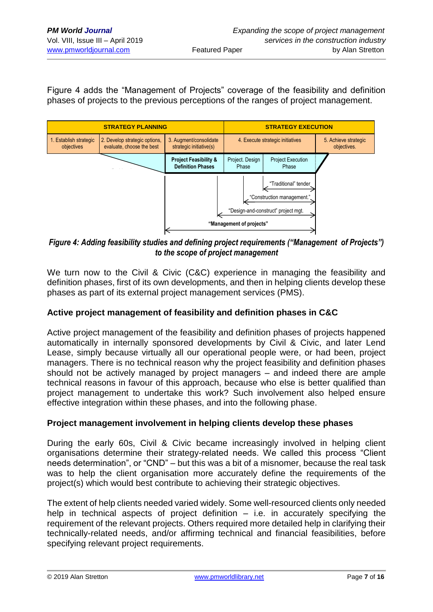Figure 4 adds the "Management of Projects" coverage of the feasibility and definition phases of projects to the previous perceptions of the ranges of project management.



## *Figure 4: Adding feasibility studies and defining project requirements ("Management of Projects") to the scope of project management*

We turn now to the Civil & Civic (C&C) experience in managing the feasibility and definition phases, first of its own developments, and then in helping clients develop these phases as part of its external project management services (PMS).

## **Active project management of feasibility and definition phases in C&C**

Active project management of the feasibility and definition phases of projects happened automatically in internally sponsored developments by Civil & Civic, and later Lend Lease, simply because virtually all our operational people were, or had been, project managers. There is no technical reason why the project feasibility and definition phases should not be actively managed by project managers – and indeed there are ample technical reasons in favour of this approach, because who else is better qualified than project management to undertake this work? Such involvement also helped ensure effective integration within these phases, and into the following phase.

## **Project management involvement in helping clients develop these phases**

During the early 60s, Civil & Civic became increasingly involved in helping client organisations determine their strategy-related needs. We called this process "Client needs determination", or "CND" – but this was a bit of a misnomer, because the real task was to help the client organisation more accurately define the requirements of the project(s) which would best contribute to achieving their strategic objectives.

The extent of help clients needed varied widely. Some well-resourced clients only needed help in technical aspects of project definition  $-$  i.e. in accurately specifying the requirement of the relevant projects. Others required more detailed help in clarifying their technically-related needs, and/or affirming technical and financial feasibilities, before specifying relevant project requirements.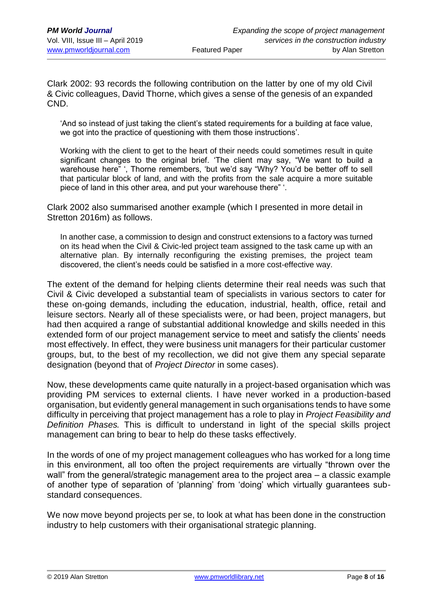Clark 2002: 93 records the following contribution on the latter by one of my old Civil & Civic colleagues, David Thorne, which gives a sense of the genesis of an expanded CND.

'And so instead of just taking the client's stated requirements for a building at face value, we got into the practice of questioning with them those instructions'.

Working with the client to get to the heart of their needs could sometimes result in quite significant changes to the original brief. 'The client may say, "We want to build a warehouse here" '. Thorne remembers, 'but we'd say "Why? You'd be better off to sell that particular block of land, and with the profits from the sale acquire a more suitable piece of land in this other area, and put your warehouse there" '.

Clark 2002 also summarised another example (which I presented in more detail in Stretton 2016m) as follows.

In another case, a commission to design and construct extensions to a factory was turned on its head when the Civil & Civic-led project team assigned to the task came up with an alternative plan. By internally reconfiguring the existing premises, the project team discovered, the client's needs could be satisfied in a more cost-effective way.

The extent of the demand for helping clients determine their real needs was such that Civil & Civic developed a substantial team of specialists in various sectors to cater for these on-going demands, including the education, industrial, health, office, retail and leisure sectors. Nearly all of these specialists were, or had been, project managers, but had then acquired a range of substantial additional knowledge and skills needed in this extended form of our project management service to meet and satisfy the clients' needs most effectively. In effect, they were business unit managers for their particular customer groups, but, to the best of my recollection, we did not give them any special separate designation (beyond that of *Project Director* in some cases).

Now, these developments came quite naturally in a project-based organisation which was providing PM services to external clients. I have never worked in a production-based organisation, but evidently general management in such organisations tends to have some difficulty in perceiving that project management has a role to play in *Project Feasibility and Definition Phases.* This is difficult to understand in light of the special skills project management can bring to bear to help do these tasks effectively.

In the words of one of my project management colleagues who has worked for a long time in this environment, all too often the project requirements are virtually "thrown over the wall" from the general/strategic management area to the project area – a classic example of another type of separation of 'planning' from 'doing' which virtually guarantees substandard consequences.

We now move beyond projects per se, to look at what has been done in the construction industry to help customers with their organisational strategic planning.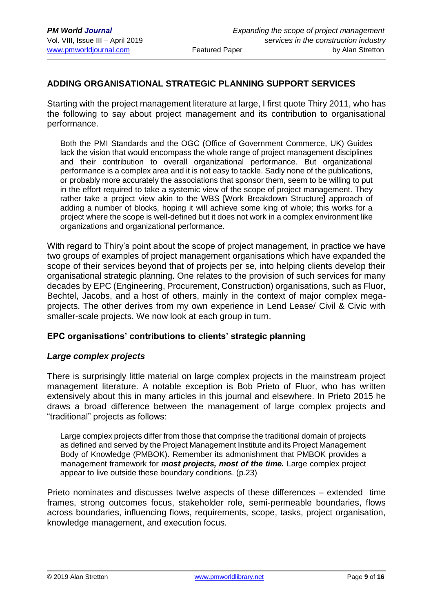## **ADDING ORGANISATIONAL STRATEGIC PLANNING SUPPORT SERVICES**

Starting with the project management literature at large, I first quote Thiry 2011, who has the following to say about project management and its contribution to organisational performance.

Both the PMI Standards and the OGC (Office of Government Commerce, UK) Guides lack the vision that would encompass the whole range of project management disciplines and their contribution to overall organizational performance. But organizational performance is a complex area and it is not easy to tackle. Sadly none of the publications, or probably more accurately the associations that sponsor them, seem to be willing to put in the effort required to take a systemic view of the scope of project management. They rather take a project view akin to the WBS [Work Breakdown Structure] approach of adding a number of blocks, hoping it will achieve some king of whole; this works for a project where the scope is well-defined but it does not work in a complex environment like organizations and organizational performance.

With regard to Thiry's point about the scope of project management, in practice we have two groups of examples of project management organisations which have expanded the scope of their services beyond that of projects per se, into helping clients develop their organisational strategic planning. One relates to the provision of such services for many decades by EPC (Engineering, Procurement, Construction) organisations, such as Fluor, Bechtel, Jacobs, and a host of others, mainly in the context of major complex megaprojects. The other derives from my own experience in Lend Lease/ Civil & Civic with smaller-scale projects. We now look at each group in turn.

#### **EPC organisations' contributions to clients' strategic planning**

#### *Large complex projects*

There is surprisingly little material on large complex projects in the mainstream project management literature. A notable exception is Bob Prieto of Fluor, who has written extensively about this in many articles in this journal and elsewhere. In Prieto 2015 he draws a broad difference between the management of large complex projects and "traditional" projects as follows:

Large complex projects differ from those that comprise the traditional domain of projects as defined and served by the Project Management Institute and its Project Management Body of Knowledge (PMBOK). Remember its admonishment that PMBOK provides a management framework for *most projects, most of the time.* Large complex project appear to live outside these boundary conditions. (p.23)

Prieto nominates and discusses twelve aspects of these differences – extended time frames, strong outcomes focus, stakeholder role, semi-permeable boundaries, flows across boundaries, influencing flows, requirements, scope, tasks, project organisation, knowledge management, and execution focus.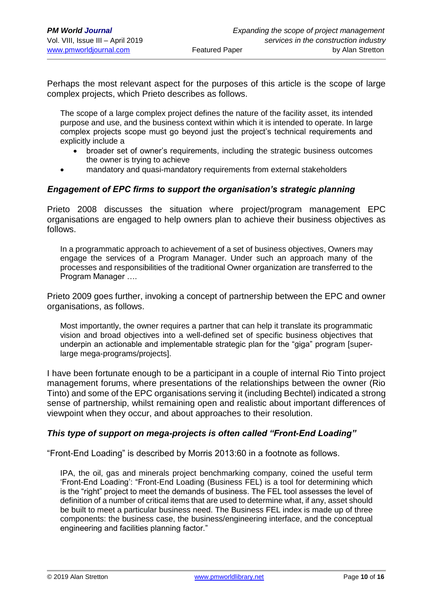Perhaps the most relevant aspect for the purposes of this article is the scope of large complex projects, which Prieto describes as follows.

The scope of a large complex project defines the nature of the facility asset, its intended purpose and use, and the business context within which it is intended to operate. In large complex projects scope must go beyond just the project's technical requirements and explicitly include a

- broader set of owner's requirements, including the strategic business outcomes the owner is trying to achieve
- mandatory and quasi-mandatory requirements from external stakeholders

#### *Engagement of EPC firms to support the organisation's strategic planning*

Prieto 2008 discusses the situation where project/program management EPC organisations are engaged to help owners plan to achieve their business objectives as follows.

In a programmatic approach to achievement of a set of business objectives, Owners may engage the services of a Program Manager. Under such an approach many of the processes and responsibilities of the traditional Owner organization are transferred to the Program Manager ….

Prieto 2009 goes further, invoking a concept of partnership between the EPC and owner organisations, as follows.

Most importantly, the owner requires a partner that can help it translate its programmatic vision and broad objectives into a well-defined set of specific business objectives that underpin an actionable and implementable strategic plan for the "giga" program [superlarge mega-programs/projects].

I have been fortunate enough to be a participant in a couple of internal Rio Tinto project management forums, where presentations of the relationships between the owner (Rio Tinto) and some of the EPC organisations serving it (including Bechtel) indicated a strong sense of partnership, whilst remaining open and realistic about important differences of viewpoint when they occur, and about approaches to their resolution.

#### *This type of support on mega-projects is often called "Front-End Loading"*

"Front-End Loading" is described by Morris 2013:60 in a footnote as follows.

IPA, the oil, gas and minerals project benchmarking company, coined the useful term 'Front-End Loading': "Front-End Loading (Business FEL) is a tool for determining which is the "right" project to meet the demands of business. The FEL tool assesses the level of definition of a number of critical items that are used to determine what, if any, asset should be built to meet a particular business need. The Business FEL index is made up of three components: the business case, the business/engineering interface, and the conceptual engineering and facilities planning factor."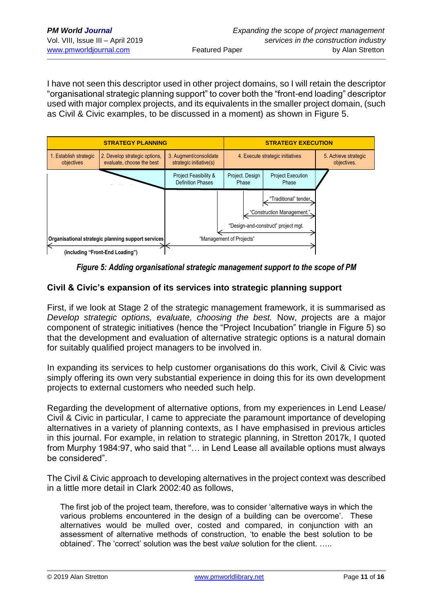I have not seen this descriptor used in other project domains, so I will retain the descriptor "organisational strategic planning support" to cover both the "front-end loading" descriptor used with major complex projects, and its equivalents in the smaller project domain, (such as Civil & Civic examples, to be discussed in a moment) as shown in Figure 5.



*Figure 5: Adding organisational strategic management support to the scope of PM*

## **Civil & Civic's expansion of its services into strategic planning support**

First, if we look at Stage 2 of the strategic management framework, it is summarised as *Develop strategic options, evaluate, choosing the best.* Now, *p*rojects are a major component of strategic initiatives (hence the "Project Incubation" triangle in Figure 5) so that the development and evaluation of alternative strategic options is a natural domain for suitably qualified project managers to be involved in.

In expanding its services to help customer organisations do this work, Civil & Civic was simply offering its own very substantial experience in doing this for its own development projects to external customers who needed such help.

Regarding the development of alternative options, from my experiences in Lend Lease/ Civil & Civic in particular, I came to appreciate the paramount importance of developing alternatives in a variety of planning contexts, as I have emphasised in previous articles in this journal. For example, in relation to strategic planning, in Stretton 2017k, I quoted from Murphy 1984:97, who said that "… in Lend Lease all available options must always be considered".

The Civil & Civic approach to developing alternatives in the project context was described in a little more detail in Clark 2002:40 as follows,

The first job of the project team, therefore, was to consider 'alternative ways in which the various problems encountered in the design of a building can be overcome'. These alternatives would be mulled over, costed and compared, in conjunction with an assessment of alternative methods of construction, 'to enable the best solution to be obtained'. The 'correct' solution was the best *value* solution for the client. …..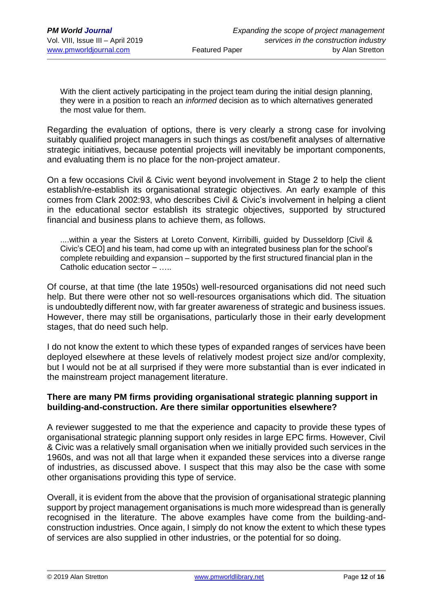With the client actively participating in the project team during the initial design planning, they were in a position to reach an *informed* decision as to which alternatives generated the most value for them.

Regarding the evaluation of options, there is very clearly a strong case for involving suitably qualified project managers in such things as cost/benefit analyses of alternative strategic initiatives, because potential projects will inevitably be important components, and evaluating them is no place for the non-project amateur.

On a few occasions Civil & Civic went beyond involvement in Stage 2 to help the client establish/re-establish its organisational strategic objectives. An early example of this comes from Clark 2002:93, who describes Civil & Civic's involvement in helping a client in the educational sector establish its strategic objectives, supported by structured financial and business plans to achieve them, as follows.

....within a year the Sisters at Loreto Convent, Kirribilli, guided by Dusseldorp [Civil & Civic's CEO] and his team, had come up with an integrated business plan for the school's complete rebuilding and expansion – supported by the first structured financial plan in the Catholic education sector – …..

Of course, at that time (the late 1950s) well-resourced organisations did not need such help. But there were other not so well-resources organisations which did. The situation is undoubtedly different now, with far greater awareness of strategic and business issues. However, there may still be organisations, particularly those in their early development stages, that do need such help.

I do not know the extent to which these types of expanded ranges of services have been deployed elsewhere at these levels of relatively modest project size and/or complexity, but I would not be at all surprised if they were more substantial than is ever indicated in the mainstream project management literature.

## **There are many PM firms providing organisational strategic planning support in building-and-construction. Are there similar opportunities elsewhere?**

A reviewer suggested to me that the experience and capacity to provide these types of organisational strategic planning support only resides in large EPC firms. However, Civil & Civic was a relatively small organisation when we initially provided such services in the 1960s, and was not all that large when it expanded these services into a diverse range of industries, as discussed above. I suspect that this may also be the case with some other organisations providing this type of service.

Overall, it is evident from the above that the provision of organisational strategic planning support by project management organisations is much more widespread than is generally recognised in the literature. The above examples have come from the building-andconstruction industries. Once again, I simply do not know the extent to which these types of services are also supplied in other industries, or the potential for so doing.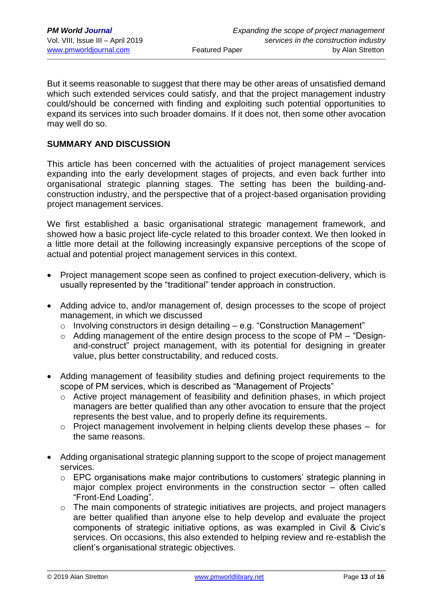But it seems reasonable to suggest that there may be other areas of unsatisfied demand which such extended services could satisfy, and that the project management industry could/should be concerned with finding and exploiting such potential opportunities to expand its services into such broader domains. If it does not, then some other avocation may well do so.

#### **SUMMARY AND DISCUSSION**

This article has been concerned with the actualities of project management services expanding into the early development stages of projects, and even back further into organisational strategic planning stages. The setting has been the building-andconstruction industry, and the perspective that of a project-based organisation providing project management services.

We first established a basic organisational strategic management framework, and showed how a basic project life-cycle related to this broader context. We then looked in a little more detail at the following increasingly expansive perceptions of the scope of actual and potential project management services in this context.

- Project management scope seen as confined to project execution-delivery, which is usually represented by the "traditional" tender approach in construction.
- Adding advice to, and/or management of, design processes to the scope of project management, in which we discussed
	- $\circ$  Involving constructors in design detailing e.g. "Construction Management"
	- o Adding management of the entire design process to the scope of PM "Designand-construct" project management, with its potential for designing in greater value, plus better constructability, and reduced costs.
- Adding management of feasibility studies and defining project requirements to the scope of PM services, which is described as "Management of Projects"
	- o Active project management of feasibility and definition phases, in which project managers are better qualified than any other avocation to ensure that the project represents the best value, and to properly define its requirements.
	- $\circ$  Project management involvement in helping clients develop these phases for the same reasons.
- Adding organisational strategic planning support to the scope of project management services.
	- o EPC organisations make major contributions to customers' strategic planning in major complex project environments in the construction sector – often called "Front-End Loading".
	- o The main components of strategic initiatives are projects, and project managers are better qualified than anyone else to help develop and evaluate the project components of strategic initiative options, as was exampled in Civil & Civic's services. On occasions, this also extended to helping review and re-establish the client's organisational strategic objectives.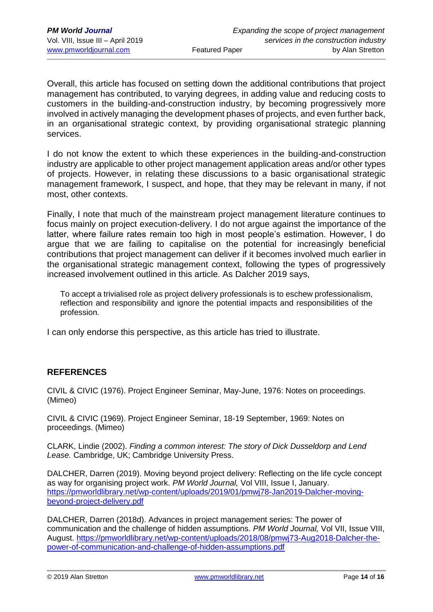Overall, this article has focused on setting down the additional contributions that project management has contributed, to varying degrees, in adding value and reducing costs to customers in the building-and-construction industry, by becoming progressively more involved in actively managing the development phases of projects, and even further back, in an organisational strategic context, by providing organisational strategic planning services.

I do not know the extent to which these experiences in the building-and-construction industry are applicable to other project management application areas and/or other types of projects. However, in relating these discussions to a basic organisational strategic management framework, I suspect, and hope, that they may be relevant in many, if not most, other contexts.

Finally, I note that much of the mainstream project management literature continues to focus mainly on project execution-delivery. I do not argue against the importance of the latter, where failure rates remain too high in most people's estimation. However, I do argue that we are failing to capitalise on the potential for increasingly beneficial contributions that project management can deliver if it becomes involved much earlier in the organisational strategic management context, following the types of progressively increased involvement outlined in this article. As Dalcher 2019 says,

To accept a trivialised role as project delivery professionals is to eschew professionalism, reflection and responsibility and ignore the potential impacts and responsibilities of the profession.

I can only endorse this perspective, as this article has tried to illustrate.

## **REFERENCES**

CIVIL & CIVIC (1976). Project Engineer Seminar, May-June, 1976: Notes on proceedings. (Mimeo)

CIVIL & CIVIC (1969). Project Engineer Seminar, 18-19 September, 1969: Notes on proceedings. (Mimeo)

CLARK, Lindie (2002). *Finding a common interest: The story of Dick Dusseldorp and Lend Lease.* Cambridge, UK; Cambridge University Press.

DALCHER, Darren (2019). Moving beyond project delivery: Reflecting on the life cycle concept as way for organising project work. *PM World Journal,* Vol VIII, Issue I, January. [https://pmworldlibrary.net/wp-content/uploads/2019/01/pmwj78-Jan2019-Dalcher-moving](https://pmworldlibrary.net/wp-content/uploads/2019/01/pmwj78-Jan2019-Dalcher-moving-beyond-project-delivery.pdf)[beyond-project-delivery.pdf](https://pmworldlibrary.net/wp-content/uploads/2019/01/pmwj78-Jan2019-Dalcher-moving-beyond-project-delivery.pdf)

DALCHER, Darren (2018d). Advances in project management series: The power of communication and the challenge of hidden assumptions. *PM World Journal,* Vol VII, Issue VIII, August. [https://pmworldlibrary.net/wp-content/uploads/2018/08/pmwj73-Aug2018-Dalcher-the](https://pmworldlibrary.net/wp-content/uploads/2018/08/pmwj73-Aug2018-Dalcher-the-power-of-communication-and-challenge-of-hidden-assumptions.pdf)[power-of-communication-and-challenge-of-hidden-assumptions.pdf](https://pmworldlibrary.net/wp-content/uploads/2018/08/pmwj73-Aug2018-Dalcher-the-power-of-communication-and-challenge-of-hidden-assumptions.pdf)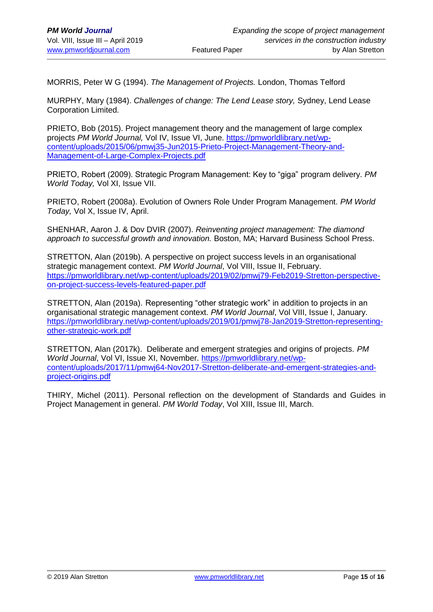MORRIS, Peter W G (1994). *The Management of Projects.* London, Thomas Telford

MURPHY, Mary (1984). *Challenges of change: The Lend Lease story,* Sydney, Lend Lease Corporation Limited.

PRIETO, Bob (2015). Project management theory and the management of large complex projects *PM World Journal,* Vol IV, Issue VI, June. [https://pmworldlibrary.net/wp](https://pmworldlibrary.net/wp-content/uploads/2015/06/pmwj35-Jun2015-Prieto-Project-Management-Theory-and-Management-of-Large-Complex-Projects.pdf)[content/uploads/2015/06/pmwj35-Jun2015-Prieto-Project-Management-Theory-and-](https://pmworldlibrary.net/wp-content/uploads/2015/06/pmwj35-Jun2015-Prieto-Project-Management-Theory-and-Management-of-Large-Complex-Projects.pdf)[Management-of-Large-Complex-Projects.pdf](https://pmworldlibrary.net/wp-content/uploads/2015/06/pmwj35-Jun2015-Prieto-Project-Management-Theory-and-Management-of-Large-Complex-Projects.pdf)

PRIETO, Robert (2009). Strategic Program Management: Key to "giga" program delivery. *PM World Today,* Vol XI, Issue VII.

PRIETO, Robert (2008a). Evolution of Owners Role Under Program Management. *PM World Today,* Vol X, Issue IV, April.

SHENHAR, Aaron J. & Dov DVIR (2007). *Reinventing project management: The diamond approach to successful growth and innovation.* Boston, MA; Harvard Business School Press.

STRETTON, Alan (2019b). A perspective on project success levels in an organisational strategic management context. *PM World Journal*, Vol VIII, Issue II, February. [https://pmworldlibrary.net/wp-content/uploads/2019/02/pmwj79-Feb2019-Stretton-perspective](https://pmworldlibrary.net/wp-content/uploads/2019/02/pmwj79-Feb2019-Stretton-perspective-on-project-success-levels-featured-paper.pdf)[on-project-success-levels-featured-paper.pdf](https://pmworldlibrary.net/wp-content/uploads/2019/02/pmwj79-Feb2019-Stretton-perspective-on-project-success-levels-featured-paper.pdf)

STRETTON, Alan (2019a). Representing "other strategic work" in addition to projects in an organisational strategic management context. *PM World Journal*, Vol VIII, Issue I, January. [https://pmworldlibrary.net/wp-content/uploads/2019/01/pmwj78-Jan2019-Stretton-representing](https://pmworldlibrary.net/wp-content/uploads/2019/01/pmwj78-Jan2019-Stretton-representing-other-strategic-work.pdf)[other-strategic-work.pdf](https://pmworldlibrary.net/wp-content/uploads/2019/01/pmwj78-Jan2019-Stretton-representing-other-strategic-work.pdf)

STRETTON, Alan (2017k). Deliberate and emergent strategies and origins of projects. *PM World Journal*, Vol VI, Issue XI, November. [https://pmworldlibrary.net/wp](https://pmworldlibrary.net/wp-content/uploads/2017/11/pmwj64-Nov2017-Stretton-deliberate-and-emergent-strategies-and-project-origins.pdf)[content/uploads/2017/11/pmwj64-Nov2017-Stretton-deliberate-and-emergent-strategies-and](https://pmworldlibrary.net/wp-content/uploads/2017/11/pmwj64-Nov2017-Stretton-deliberate-and-emergent-strategies-and-project-origins.pdf)[project-origins.pdf](https://pmworldlibrary.net/wp-content/uploads/2017/11/pmwj64-Nov2017-Stretton-deliberate-and-emergent-strategies-and-project-origins.pdf)

THIRY, Michel (2011). Personal reflection on the development of Standards and Guides in Project Management in general. *PM World Today*, Vol XIII, Issue III, March.